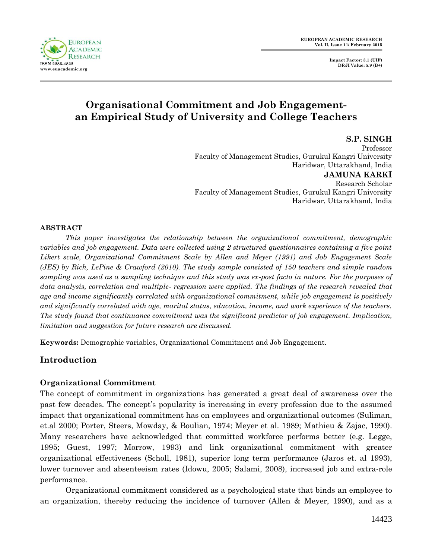**EUROPEAN ACADEMIC RESEARCH ISSN 2286-4822 www.euacademic.org**

**EUROPEAN ACADEMIC RESEARCH Vol. II, Issue 11/ February 2015**

> **Impact Factor: 3.1 (UIF) DRJI Value: 5.9 (B+)**

# **Organisational Commitment and Job Engagementan Empirical Study of University and College Teachers**

**S.P. SINGH** Professor Faculty of Management Studies, Gurukul Kangri University Haridwar, Uttarakhand, India **JAMUNA KARKI** Research Scholar Faculty of Management Studies, Gurukul Kangri University Haridwar, Uttarakhand, India

### **ABSTRACT**

*This paper investigates the relationship between the organizational commitment, demographic variables and job engagement. Data were collected using 2 structured questionnaires containing a five point Likert scale, Organizational Commitment Scale by Allen and Meyer (1991) and Job Engagement Scale (JES) by Rich, LePine & Crawford (2010). The study sample consisted of 150 teachers and simple random sampling was used as a sampling technique and this study was ex-post facto in nature. For the purposes of data analysis, correlation and multiple- regression were applied. The findings of the research revealed that age and income significantly correlated with organizational commitment, while job engagement is positively and significantly correlated with age, marital status, education, income, and work experience of the teachers. The study found that continuance commitment was the significant predictor of job engagement. Implication, limitation and suggestion for future research are discussed.*

**Keywords:** Demographic variables, Organizational Commitment and Job Engagement.

# **Introduction**

# **Organizational Commitment**

The concept of commitment in organizations has generated a great deal of awareness over the past few decades. The concept's popularity is increasing in every profession due to the assumed impact that organizational commitment has on employees and organizational outcomes (Suliman, et.al 2000; Porter, Steers, Mowday, & Boulian, 1974; Meyer et al. 1989; Mathieu & Zajac, 1990). Many researchers have acknowledged that committed workforce performs better (e.g. Legge, 1995; Guest, 1997; Morrow, 1993) and link organizational commitment with greater organizational effectiveness (Scholl, 1981), superior long term performance (Jaros et. al 1993), lower turnover and absenteeism rates (Idowu, 2005; Salami, 2008), increased job and extra-role performance.

Organizational commitment considered as a psychological state that binds an employee to an organization, thereby reducing the incidence of turnover (Allen & Meyer, 1990), and as a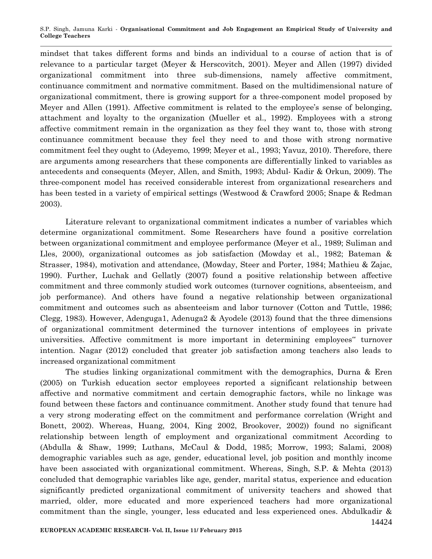mindset that takes different forms and binds an individual to a course of action that is of relevance to a particular target (Meyer & Herscovitch, 2001). Meyer and Allen (1997) divided organizational commitment into three sub-dimensions, namely affective commitment, continuance commitment and normative commitment. Based on the multidimensional nature of organizational commitment, there is growing support for a three-component model proposed by Meyer and Allen (1991). Affective commitment is related to the employee's sense of belonging, attachment and loyalty to the organization (Mueller et al., 1992). Employees with a strong affective commitment remain in the organization as they feel they want to, those with strong continuance commitment because they feel they need to and those with strong normative commitment feel they ought to (Adeyemo, 1999; Meyer et al., 1993; Yavuz, 2010). Therefore, there are arguments among researchers that these components are differentially linked to variables as antecedents and consequents (Meyer, Allen, and Smith, 1993; Abdul- Kadir & Orkun, 2009). The three-component model has received considerable interest from organizational researchers and has been tested in a variety of empirical settings (Westwood & Crawford 2005; Snape & Redman 2003).

Literature relevant to organizational commitment indicates a number of variables which determine organizational commitment. Some Researchers have found a positive correlation between organizational commitment and employee performance (Meyer et al., 1989; Suliman and Lles, 2000), organizational outcomes as job satisfaction (Mowday et al., 1982; Bateman & Strasser, 1984), motivation and attendance, (Mowday, Steer and Porter, 1984; Mathieu & Zajac, 1990). Further, Luchak and Gellatly (2007) found a positive relationship between affective commitment and three commonly studied work outcomes (turnover cognitions, absenteeism, and job performance). And others have found a negative relationship between organizational commitment and outcomes such as absenteeism and labor turnover (Cotton and Tuttle, 1986; Clegg, 1983). However, Adenguga1, Adenuga2 & Ayodele (2013) found that the three dimensions of organizational commitment determined the turnover intentions of employees in private universities. Affective commitment is more important in determining employees" turnover intention. Nagar (2012) concluded that greater job satisfaction among teachers also leads to increased organizational commitment

The studies linking organizational commitment with the demographics, Durna & Eren (2005) on Turkish education sector employees reported a significant relationship between affective and normative commitment and certain demographic factors, while no linkage was found between these factors and continuance commitment. Another study found that tenure had a very strong moderating effect on the commitment and performance correlation (Wright and Bonett, 2002). Whereas, Huang, 2004, King 2002, Brookover, 2002)) found no significant relationship between length of employment and organizational commitment According to (Abdulla & Shaw, 1999; Luthans, McCaul & Dodd, 1985; Morrow, 1993; Salami, 2008) demographic variables such as age, gender, educational level, job position and monthly income have been associated with organizational commitment. Whereas, Singh, S.P. & Mehta (2013) concluded that demographic variables like age, gender, marital status, experience and education significantly predicted organizational commitment of university teachers and showed that married, older, more educated and more experienced teachers had more organizational commitment than the single, younger, less educated and less experienced ones. Abdulkadir &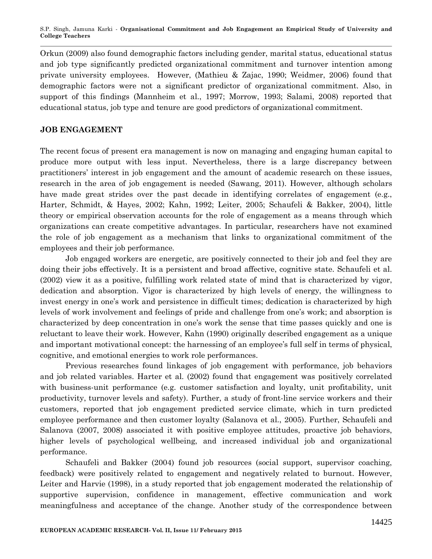Orkun (2009) also found demographic factors including gender, marital status, educational status and job type significantly predicted organizational commitment and turnover intention among private university employees. However, (Mathieu & Zajac, 1990; Weidmer, 2006) found that demographic factors were not a significant predictor of organizational commitment. Also, in support of this findings (Mannheim et al., 1997; Morrow, 1993; Salami, 2008) reported that educational status, job type and tenure are good predictors of organizational commitment.

#### **JOB ENGAGEMENT**

The recent focus of present era management is now on managing and engaging human capital to produce more output with less input. Nevertheless, there is a large discrepancy between practitioners' interest in job engagement and the amount of academic research on these issues, research in the area of job engagement is needed (Sawang, 2011). However, although scholars have made great strides over the past decade in identifying correlates of engagement (e.g., Harter, Schmidt, & Hayes, 2002; Kahn, 1992; Leiter, 2005; Schaufeli & Bakker, 2004), little theory or empirical observation accounts for the role of engagement as a means through which organizations can create competitive advantages. In particular, researchers have not examined the role of job engagement as a mechanism that links to organizational commitment of the employees and their job performance.

Job engaged workers are energetic, are positively connected to their job and feel they are doing their jobs effectively. It is a persistent and broad affective, cognitive state. Schaufeli et al. (2002) view it as a positive, fulfilling work related state of mind that is characterized by vigor, dedication and absorption. Vigor is characterized by high levels of energy, the willingness to invest energy in one's work and persistence in difficult times; dedication is characterized by high levels of work involvement and feelings of pride and challenge from one's work; and absorption is characterized by deep concentration in one's work the sense that time passes quickly and one is reluctant to leave their work. However, Kahn (1990) originally described engagement as a unique and important motivational concept: the harnessing of an employee's full self in terms of physical, cognitive, and emotional energies to work role performances.

Previous researches found linkages of job engagement with performance, job behaviors and job related variables. Harter et al. (2002) found that engagement was positively correlated with business-unit performance (e.g. customer satisfaction and loyalty, unit profitability, unit productivity, turnover levels and safety). Further, a study of front-line service workers and their customers, reported that job engagement predicted service climate, which in turn predicted employee performance and then customer loyalty (Salanova et al., 2005). Further, Schaufeli and Salanova (2007, 2008) associated it with positive employee attitudes, proactive job behaviors, higher levels of psychological wellbeing, and increased individual job and organizational performance.

Schaufeli and Bakker (2004) found job resources (social support, supervisor coaching, feedback) were positively related to engagement and negatively related to burnout. However, Leiter and Harvie (1998), in a study reported that job engagement moderated the relationship of supportive supervision, confidence in management, effective communication and work meaningfulness and acceptance of the change. Another study of the correspondence between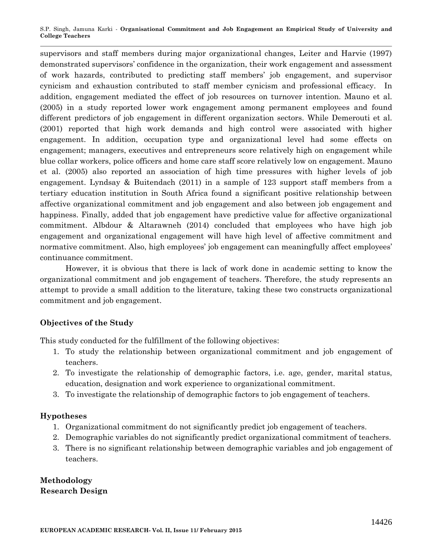supervisors and staff members during major organizational changes, Leiter and Harvie (1997) demonstrated supervisors' confidence in the organization, their work engagement and assessment of work hazards, contributed to predicting staff members' job engagement, and supervisor cynicism and exhaustion contributed to staff member cynicism and professional efficacy. In addition, engagement mediated the effect of job resources on turnover intention. Mauno et al. (2005) in a study reported lower work engagement among permanent employees and found different predictors of job engagement in different organization sectors. While Demerouti et al. (2001) reported that high work demands and high control were associated with higher engagement. In addition, occupation type and organizational level had some effects on engagement; managers, executives and entrepreneurs score relatively high on engagement while blue collar workers, police officers and home care staff score relatively low on engagement. Mauno et al. (2005) also reported an association of high time pressures with higher levels of job engagement. Lyndsay & Buitendach (2011) in a sample of 123 support staff members from a tertiary education institution in South Africa found a significant positive relationship between affective organizational commitment and job engagement and also between job engagement and happiness. Finally, added that job engagement have predictive value for affective organizational commitment. Albdour & Altarawneh (2014) concluded that employees who have high job engagement and organizational engagement will have high level of affective commitment and normative commitment. Also, high employees' job engagement can meaningfully affect employees' continuance commitment.

However, it is obvious that there is lack of work done in academic setting to know the organizational commitment and job engagement of teachers. Therefore, the study represents an attempt to provide a small addition to the literature, taking these two constructs organizational commitment and job engagement.

# **Objectives of the Study**

This study conducted for the fulfillment of the following objectives:

- 1. To study the relationship between organizational commitment and job engagement of teachers.
- 2. To investigate the relationship of demographic factors, i.e. age, gender, marital status, education, designation and work experience to organizational commitment.
- 3. To investigate the relationship of demographic factors to job engagement of teachers.

# **Hypotheses**

- 1. Organizational commitment do not significantly predict job engagement of teachers.
- 2. Demographic variables do not significantly predict organizational commitment of teachers.
- 3. There is no significant relationship between demographic variables and job engagement of teachers.

**Methodology Research Design**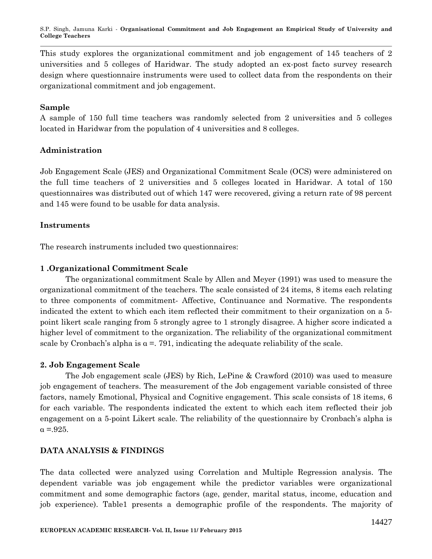This study explores the organizational commitment and job engagement of 145 teachers of 2 universities and 5 colleges of Haridwar. The study adopted an ex-post facto survey research design where questionnaire instruments were used to collect data from the respondents on their organizational commitment and job engagement.

#### **Sample**

A sample of 150 full time teachers was randomly selected from 2 universities and 5 colleges located in Haridwar from the population of 4 universities and 8 colleges.

### **Administration**

Job Engagement Scale (JES) and Organizational Commitment Scale (OCS) were administered on the full time teachers of 2 universities and 5 colleges located in Haridwar. A total of 150 questionnaires was distributed out of which 147 were recovered, giving a return rate of 98 percent and 145 were found to be usable for data analysis.

### **Instruments**

The research instruments included two questionnaires:

# **1 .Organizational Commitment Scale**

The organizational commitment Scale by Allen and Meyer (1991) was used to measure the organizational commitment of the teachers. The scale consisted of 24 items, 8 items each relating to three components of commitment- Affective, Continuance and Normative. The respondents indicated the extent to which each item reflected their commitment to their organization on a 5 point likert scale ranging from 5 strongly agree to 1 strongly disagree. A higher score indicated a higher level of commitment to the organization. The reliability of the organizational commitment scale by Cronbach's alpha is  $\alpha = 0.791$ , indicating the adequate reliability of the scale.

#### **2. Job Engagement Scale**

The Job engagement scale (JES) by Rich, LePine & Crawford (2010) was used to measure job engagement of teachers. The measurement of the Job engagement variable consisted of three factors, namely Emotional, Physical and Cognitive engagement. This scale consists of 18 items, 6 for each variable. The respondents indicated the extent to which each item reflected their job engagement on a 5-point Likert scale. The reliability of the questionnaire by Cronbach's alpha is  $\alpha = 925$ .

#### **DATA ANALYSIS & FINDINGS**

The data collected were analyzed using Correlation and Multiple Regression analysis. The dependent variable was job engagement while the predictor variables were organizational commitment and some demographic factors (age, gender, marital status, income, education and job experience). Table1 presents a demographic profile of the respondents. The majority of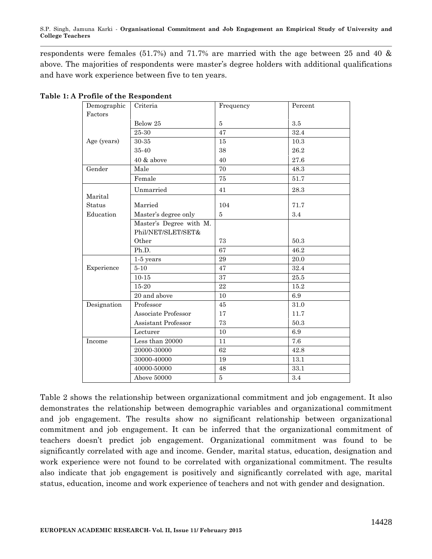respondents were females (51.7%) and 71.7% are married with the age between 25 and 40 & above. The majorities of respondents were master's degree holders with additional qualifications and have work experience between five to ten years.

| Demographic<br>Factors | Criteria                                      | Frequency | Percent |
|------------------------|-----------------------------------------------|-----------|---------|
|                        | Below 25                                      | $\bf 5$   | $\!.5$  |
|                        | 25-30                                         | 47        | 32.4    |
| Age (years)            | 30-35                                         | 15        | 10.3    |
|                        | 35-40                                         | 38        | 26.2    |
|                        | 40 & above                                    | 40        | 27.6    |
| Gender                 | Male                                          | 70        | 48.3    |
|                        | Female                                        | $75\,$    | 51.7    |
| Marital                | Unmarried                                     | 41        | 28.3    |
| Status                 | Married                                       | 104       | 71.7    |
| Education              | Master's degree only                          | 5         | 3.4     |
|                        | Master's Degree with M.<br>Phil/NET/SLET/SET& |           |         |
|                        | Other                                         | 73        | 50.3    |
|                        | Ph.D.                                         | 67        | 46.2    |
|                        | $1-5$ years                                   | 29        | 20.0    |
| Experience             | $5 - 10$                                      | 47        | 32.4    |
|                        | $10 - 15$                                     | 37        | 25.5    |
|                        | 15-20                                         | 22        | 15.2    |
|                        | 20 and above                                  | 10        | 6.9     |
| Designation            | Professor                                     | $45\,$    | 31.0    |
|                        | Associate Professor                           | 17        | 11.7    |
|                        | Assistant Professor                           | 73        | 50.3    |
|                        | Lecturer                                      | 10        | 6.9     |
| Income                 | Less than 20000                               | 11        | 7.6     |
|                        | 20000-30000                                   | 62        | 42.8    |
|                        | 30000-40000                                   | 19        | 13.1    |
|                        | 40000-50000                                   | 48        | 33.1    |
|                        | Above 50000                                   | $\bf 5$   | $3.4\,$ |

#### **Table 1: A Profile of the Respondent**

Table 2 shows the relationship between organizational commitment and job engagement. It also demonstrates the relationship between demographic variables and organizational commitment and job engagement. The results show no significant relationship between organizational commitment and job engagement. It can be inferred that the organizational commitment of teachers doesn't predict job engagement. Organizational commitment was found to be significantly correlated with age and income. Gender, marital status, education, designation and work experience were not found to be correlated with organizational commitment. The results also indicate that job engagement is positively and significantly correlated with age, marital status, education, income and work experience of teachers and not with gender and designation.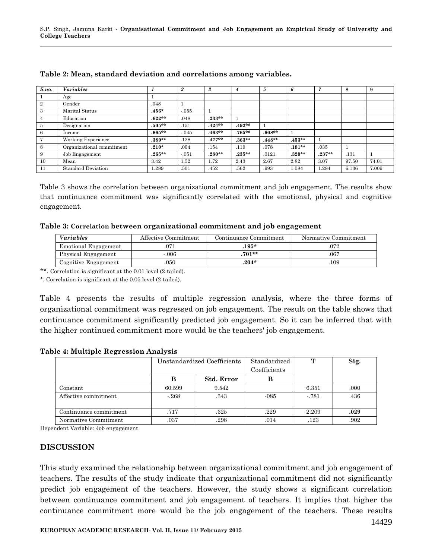| S.no.          | <b>Variables</b>          |           | $\boldsymbol{2}$ | $\boldsymbol{\mathcal{S}}$ | 4         | 5        | 6        |          | 8     | 9     |
|----------------|---------------------------|-----------|------------------|----------------------------|-----------|----------|----------|----------|-------|-------|
|                | Age                       |           |                  |                            |           |          |          |          |       |       |
| $\overline{2}$ | Gender                    | .048      |                  |                            |           |          |          |          |       |       |
| 3              | Marital Status            | $.456*$   | $-.055$          |                            |           |          |          |          |       |       |
| 4              | Education                 | $.622**$  | .048             | $.233**$                   |           |          |          |          |       |       |
| $\overline{5}$ | Designation               | $.505**$  | .151             | $.424**$                   | $.492**$  |          |          |          |       |       |
| 6              | Income                    | $.665***$ | $-.045$          | $.463**$                   | $.765***$ | $.608**$ |          |          |       |       |
| 7              | Working Experience        | $.389**$  | .128             | $.477**$                   | $.363**$  | $.448**$ | $.453**$ |          |       |       |
| 8              | Organizational commitment | $.210*$   | .004             | .154                       | .119      | .078     | $.181**$ | .035     |       |       |
| 9              | Job Engagement            | $0.265**$ | $-.051$          | $.280**$                   | $.235***$ | .0121    | $.320**$ | $.237**$ | .131  |       |
| 10             | Mean                      | 3.42      | 1.52             | 1.72                       | 2.43      | 2.67     | 2.82     | 3.07     | 97.50 | 74.01 |
| 11             | <b>Standard Deviation</b> | 1.289     | .501             | .452                       | .562      | .993     | 1.084    | 1.284    | 6.136 | 7.009 |

| Table 2: Mean, standard deviation and correlations among variables. |  |  |  |
|---------------------------------------------------------------------|--|--|--|
|---------------------------------------------------------------------|--|--|--|

Table 3 shows the correlation between organizational commitment and job engagement. The results show that continuance commitment was significantly correlated with the emotional, physical and cognitive engagement.

**Table 3: Correlation between organizational commitment and job engagement**

| <i>Variables</i>     | Affective Commitment | Continuance Commitment | Normative Commitment |  |
|----------------------|----------------------|------------------------|----------------------|--|
| Emotional Engagement |                      | $.195*$                | .072                 |  |
| Physical Engagement  | $-0.06$              | $.701**$               | .067                 |  |
| Cognitive Engagement | 050                  | $204*$                 | 109                  |  |

\*\*. Correlation is significant at the 0.01 level (2-tailed).

\*. Correlation is significant at the 0.05 level (2-tailed).

Table 4 presents the results of multiple regression analysis, where the three forms of organizational commitment was regressed on job engagement. The result on the table shows that continuance commitment significantly predicted job engagement. So it can be inferred that with the higher continued commitment more would be the teachers' job engagement.

|                        |        | Unstandardized Coefficients | Standardized<br>Coefficients | Т      | Sig. |
|------------------------|--------|-----------------------------|------------------------------|--------|------|
|                        | В      | <b>Std. Error</b>           |                              |        |      |
| Constant               | 60.599 | 9.542                       |                              | 6.351  | .000 |
| Affective commitment   | $-268$ | .343                        | $-085$                       | $-781$ | .436 |
| Continuance commitment | .717   | .325                        | .229                         | 2.209  | .029 |
| Normative Commitment   | .037   | .298                        | .014                         | .123   | .902 |

Dependent Variable: Job engagement

#### **DISCUSSION**

This study examined the relationship between organizational commitment and job engagement of teachers. The results of the study indicate that organizational commitment did not significantly predict job engagement of the teachers. However, the study shows a significant correlation between continuance commitment and job engagement of teachers. It implies that higher the continuance commitment more would be the job engagement of the teachers. These results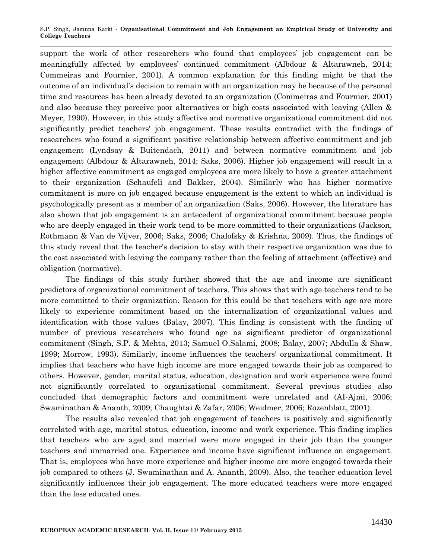support the work of other researchers who found that employees' job engagement can be meaningfully affected by employees' continued commitment (Albdour & Altarawneh, 2014; Commeiras and Fournier, 2001). A common explanation for this finding might be that the outcome of an individual's decision to remain with an organization may be because of the personal time and resources has been already devoted to an organization (Commeiras and Fournier, 2001) and also because they perceive poor alternatives or high costs associated with leaving (Allen & Meyer, 1990). However, in this study affective and normative organizational commitment did not significantly predict teachers' job engagement. These results contradict with the findings of researchers who found a significant positive relationship between affective commitment and job engagement (Lyndsay & Buitendach, 2011) and between normative commitment and job engagement (Albdour & Altarawneh, 2014; Saks, 2006). Higher job engagement will result in a higher affective commitment as engaged employees are more likely to have a greater attachment to their organization (Schaufeli and Bakker, 2004). Similarly who has higher normative commitment is more on job engaged because engagement is the extent to which an individual is psychologically present as a member of an organization (Saks, 2006). However, the literature has also shown that job engagement is an antecedent of organizational commitment because people who are deeply engaged in their work tend to be more committed to their organizations (Jackson, Rothmann & Van de Vijver, 2006; Saks, 2006; Chalofsky & Krishna, 2009). Thus, the findings of this study reveal that the teacher's decision to stay with their respective organization was due to the cost associated with leaving the company rather than the feeling of attachment (affective) and obligation (normative).

The findings of this study further showed that the age and income are significant predictors of organizational commitment of teachers. This shows that with age teachers tend to be more committed to their organization. Reason for this could be that teachers with age are more likely to experience commitment based on the internalization of organizational values and identification with those values (Balay, 2007). This finding is consistent with the finding of number of previous researchers who found age as significant predictor of organizational commitment (Singh, S.P. & Mehta, 2013; Samuel O.Salami, 2008; Balay, 2007; Abdulla & Shaw, 1999; Morrow, 1993). Similarly, income influences the teachers' organizational commitment. It implies that teachers who have high income are more engaged towards their job as compared to others. However, gender, marital status, education, designation and work experience were found not significantly correlated to organizational commitment. Several previous studies also concluded that demographic factors and commitment were unrelated and (AI-Ajmi, 2006; Swaminathan & Ananth, 2009; Chaughtai & Zafar, 2006; Weidmer, 2006; Rozenblatt, 2001).

The results also revealed that job engagement of teachers is positively and significantly correlated with age, marital status, education, income and work experience. This finding implies that teachers who are aged and married were more engaged in their job than the younger teachers and unmarried one. Experience and income have significant influence on engagement. That is, employees who have more experience and higher income are more engaged towards their job compared to others (J. Swaminathan and A. Ananth, 2009). Also, the teacher education level significantly influences their job engagement. The more educated teachers were more engaged than the less educated ones.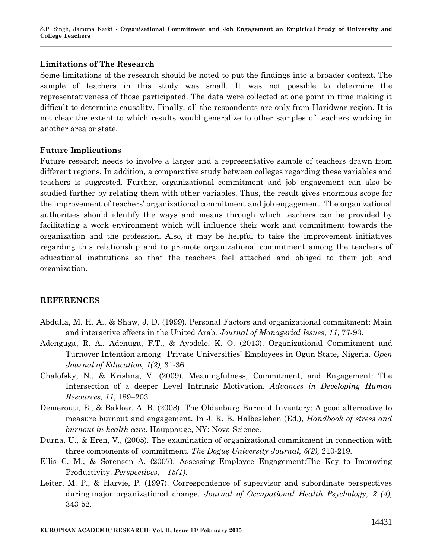#### **Limitations of The Research**

Some limitations of the research should be noted to put the findings into a broader context. The sample of teachers in this study was small. It was not possible to determine the representativeness of those participated. The data were collected at one point in time making it difficult to determine causality. Finally, all the respondents are only from Haridwar region. It is not clear the extent to which results would generalize to other samples of teachers working in another area or state.

#### **Future Implications**

Future research needs to involve a larger and a representative sample of teachers drawn from different regions. In addition, a comparative study between colleges regarding these variables and teachers is suggested. Further, organizational commitment and job engagement can also be studied further by relating them with other variables. Thus, the result gives enormous scope for the improvement of teachers' organizational commitment and job engagement. The organizational authorities should identify the ways and means through which teachers can be provided by facilitating a work environment which will influence their work and commitment towards the organization and the profession. Also, it may be helpful to take the improvement initiatives regarding this relationship and to promote organizational commitment among the teachers of educational institutions so that the teachers feel attached and obliged to their job and organization.

### **REFERENCES**

- Abdulla, M. H. A., & Shaw, J. D. (1999). Personal Factors and organizational commitment: Main and interactive effects in the United Arab. *Journal of Managerial Issues*, *11*, 77-93.
- Adenguga, R. A., Adenuga, F.T., & Ayodele, K. O. (2013). Organizational Commitment and Turnover Intention among Private Universities' Employees in Ogun State, Nigeria. *Open Journal of Education, 1(2),* 31-36.
- Chalofsky, N., & Krishna, V. (2009). Meaningfulness, Commitment, and Engagement: The Intersection of a deeper Level Intrinsic Motivation. *Advances in Developing Human Resources, 11*, 189–203.
- Demerouti, E., & Bakker, A. B. (2008). The Oldenburg Burnout Inventory: A good alternative to measure burnout and engagement. In J. R. B. Halbesleben (Ed.), *Handbook of stress and burnout in health care*. Hauppauge, NY: Nova Science.
- Durna, U., & Eren, V., (2005). The examination of organizational commitment in connection with three components of commitment*. The Doğuş University Journal, 6(2),* 210-219.
- Ellis C. M., & Sorensen A. (2007). Assessing Employee Engagement:The Key to Improving Productivity. *Perspectives, 15(1)*.
- Leiter, M. P., & Harvie, P. (1997). Correspondence of supervisor and subordinate perspectives during major organizational change. *Journal of Occupational Health Psychology, 2 (4),* 343-52.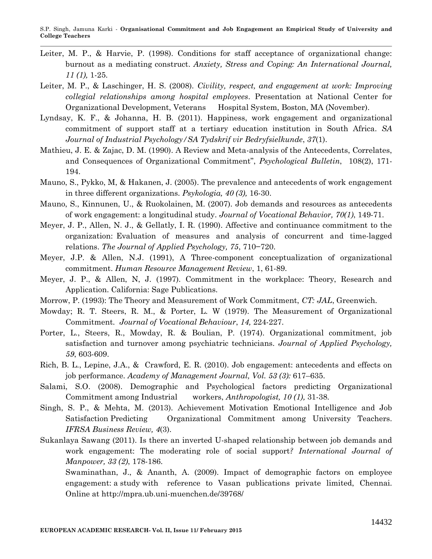- Leiter, M. P., & Harvie, P. (1998). Conditions for staff acceptance of organizational change: burnout as a mediating construct. *Anxiety, Stress and Coping: An International Journal, 11 (1),* 1-25.
- Leiter, M. P., & Laschinger, H. S. (2008). *Civility, respect, and engagement at work: Improving collegial relationships among hospital employees*. Presentation at National Center for Organizational Development, Veterans Hospital System, Boston, MA (November).
- Lyndsay, K. F., & Johanna, H. B. (2011). Happiness, work engagement and organizational commitment of support staff at a tertiary education institution in South Africa. *SA Journal of Industrial Psychology/SA Tydskrif vir Bedryfsielkunde*, *37*(1).
- Mathieu, J. E. & Zajac, D. M. (1990). A Review and Meta-analysis of the Antecedents, Correlates, and Consequences of Organizational Commitment", *Psychological Bulletin*, 108(2), 171- 194.
- Mauno, S., Pykko, M, & Hakanen, J. (2005). The prevalence and antecedents of work engagement in three different organizations. *Psykologia, 40 (3),* 16-30.
- Mauno, S., Kinnunen, U., & Ruokolainen, M. (2007). Job demands and resources as antecedents of work engagement: a longitudinal study. *Journal of Vocational Behavior, 70(1)*, 149-71.
- Meyer, J. P., Allen, N. J., & Gellatly, I. R. (1990). Affective and continuance commitment to the organization: Evaluation of measures and analysis of concurrent and time-lagged relations. *The Journal of Applied Psychology, 75*, 710−720.
- Meyer, J.P. & Allen, N.J. (1991), A Three-component conceptualization of organizational commitment. *Human Resource Management Review*, 1, 61-89.
- Meyer, J. P., & Allen, N, J. (1997). Commitment in the workplace: Theory, Research and Application. California: Sage Publications.
- Morrow, P. (1993): The Theory and Measurement of Work Commitment, *CT: JAL*, Greenwich.
- Mowday; R. T. Steers, R. M., & Porter, L. W (1979). The Measurement of Organizational Commitment. *Journal of Vocational Behaviour*, *14,* 224-227.
- Porter, L., Steers, R., Mowday, R. & Boulian, P. (1974). Organizational commitment, job satisfaction and turnover among psychiatric technicians. *Journal of Applied Psychology, 59*, 603-609.
- Rich, B. L., Lepine, J.A., & Crawford, E. R. (2010). Job engagement: antecedents and effects on job performance. *Academy of Management Journal, Vol. 53 (3):* 617–635.
- Salami, S.O. (2008). Demographic and Psychological factors predicting Organizational Commitment among Industrial workers, *Anthropologist, 10 (1),* 31-38.
- Singh, S. P., & Mehta, M. (2013). Achievement Motivation Emotional Intelligence and Job Satisfaction Predicting Organizational Commitment among University Teachers. *IFRSA Business Review, 4*(3).
- Sukanlaya Sawang (2011). Is there an inverted U-shaped relationship between job demands and work engagement: The moderating role of social support*? International Journal of Manpower, 33 (2)*, 178-186.

Swaminathan, J., & Ananth, A. (2009). Impact of demographic factors on employee engagement: a study with reference to Vasan publications private limited, Chennai. Online at<http://mpra.ub.uni-muenchen.de/39768/>